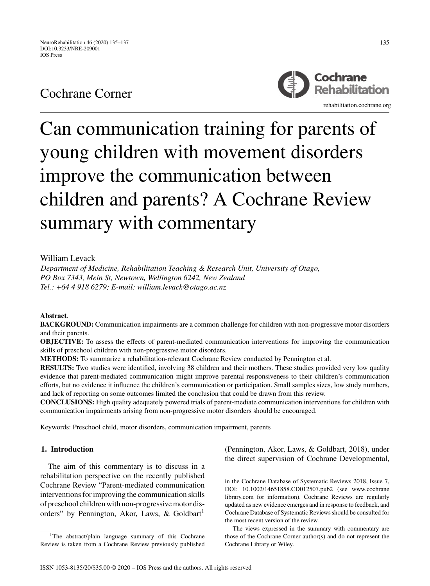# Cochrane Corner



# Can communication training for parents of young children with movement disorders improve the communication between children and parents? A Cochrane Review summary with commentary

# William Levack

*Department of Medicine, Rehabilitation Teaching & Research Unit, University of Otago, PO Box 7343, Mein St, Newtown, Wellington 6242, New Zealand Tel.: +64 4 918 6279; E-mail: william.levack@otago.ac.nz*

# **Abstract**.

**BACKGROUND:** Communication impairments are a common challenge for children with non-progressive motor disorders and their parents.

**OBJECTIVE:** To assess the effects of parent-mediated communication interventions for improving the communication skills of preschool children with non-progressive motor disorders.

**METHODS:** To summarize a rehabilitation-relevant Cochrane Review conducted by Pennington et al.

**RESULTS:** Two studies were identified, involving 38 children and their mothers. These studies provided very low quality evidence that parent-mediated communication might improve parental responsiveness to their children's communication efforts, but no evidence it influence the children's communication or participation. Small samples sizes, low study numbers, and lack of reporting on some outcomes limited the conclusion that could be drawn from this review.

**CONCLUSIONS:** High quality adequately powered trials of parent-mediate communication interventions for children with communication impairments arising from non-progressive motor disorders should be encouraged.

Keywords: Preschool child, motor disorders, communication impairment, parents

# **1. Introduction**

The aim of this commentary is to discuss in a rehabilitation perspective on the recently published Cochrane Review "Parent-mediated communication interventions for improving the communication skills of preschool children with non-progressive motor disorders" by Pennington, Akor, Laws, & Goldbart<sup>1</sup>

<sup>1</sup>The abstract/plain language summary of this Cochrane Review is taken from a Cochrane Review previously published

(Pennington, Akor, Laws, & Goldbart, 2018), under the direct supervision of Cochrane Developmental,

in the Cochrane Database of Systematic Reviews 2018, Issue 7, DOI:<10.1002/14651858.CD012507.pub2> (see [www.cochrane](www.cochranelibrary.com) [library.com](www.cochranelibrary.com) for information). Cochrane Reviews are regularly updated as new evidence emerges and in response to feedback, and Cochrane Database of Systematic Reviews should be consulted for the most recent version of the review.

The views expressed in the summary with commentary are those of the Cochrane Corner author(s) and do not represent the Cochrane Library or Wiley.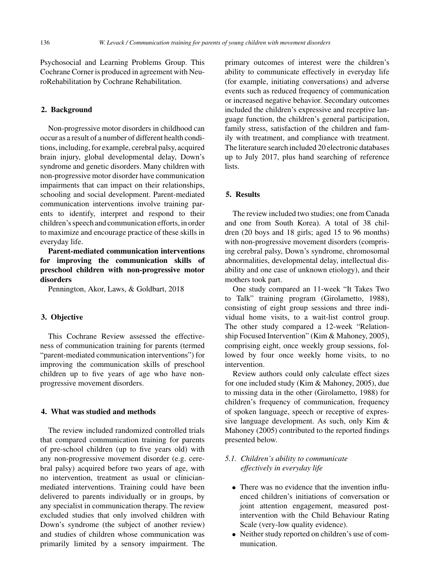Psychosocial and Learning Problems Group. This Cochrane Corner is produced in agreement with NeuroRehabilitation by Cochrane Rehabilitation.

#### **2. Background**

Non-progressive motor disorders in childhood can occur as a result of a number of different health conditions, including, for example, cerebral palsy, acquired brain injury, global developmental delay, Down's syndrome and genetic disorders. Many children with non-progressive motor disorder have communication impairments that can impact on their relationships, schooling and social development. Parent-mediated communication interventions involve training parents to identify, interpret and respond to their children's speech and communication efforts, in order to maximize and encourage practice of these skills in everyday life.

**Parent-mediated communication interventions for improving the communication skills of preschool children with non-progressive motor disorders**

Pennington, Akor, Laws, & Goldbart, 2018

#### **3. Objective**

This Cochrane Review assessed the effectiveness of communication training for parents (termed "parent-mediated communication interventions") for improving the communication skills of preschool children up to five years of age who have nonprogressive movement disorders.

# **4. What was studied and methods**

The review included randomized controlled trials that compared communication training for parents of pre-school children (up to five years old) with any non-progressive movement disorder (e.g. cerebral palsy) acquired before two years of age, with no intervention, treatment as usual or clinicianmediated interventions. Training could have been delivered to parents individually or in groups, by any specialist in communication therapy. The review excluded studies that only involved children with Down's syndrome (the subject of another review) and studies of children whose communication was primarily limited by a sensory impairment. The primary outcomes of interest were the children's ability to communicate effectively in everyday life (for example, initiating conversations) and adverse events such as reduced frequency of communication or increased negative behavior. Secondary outcomes included the children's expressive and receptive language function, the children's general participation, family stress, satisfaction of the children and family with treatment, and compliance with treatment. The literature search included 20 electronic databases up to July 2017, plus hand searching of reference lists.

# **5. Results**

The review included two studies; one from Canada and one from South Korea). A total of 38 children (20 boys and 18 girls; aged 15 to 96 months) with non-progressive movement disorders (comprising cerebral palsy, Down's syndrome, chromosomal abnormalities, developmental delay, intellectual disability and one case of unknown etiology), and their mothers took part.

One study compared an 11-week "It Takes Two to Talk" training program (Girolametto, 1988), consisting of eight group sessions and three individual home visits, to a wait-list control group. The other study compared a 12-week "Relationship Focused Intervention" (Kim & Mahoney, 2005), comprising eight, once weekly group sessions, followed by four once weekly home visits, to no intervention.

Review authors could only calculate effect sizes for one included study (Kim & Mahoney, 2005), due to missing data in the other (Girolametto, 1988) for children's frequency of communication, frequency of spoken language, speech or receptive of expressive language development. As such, only Kim & Mahoney (2005) contributed to the reported findings presented below.

- *5.1. Children's ability to communicate effectively in everyday life*
	- There was no evidence that the invention influenced children's initiations of conversation or joint attention engagement, measured postintervention with the Child Behaviour Rating Scale (very-low quality evidence).
	- Neither study reported on children's use of communication.